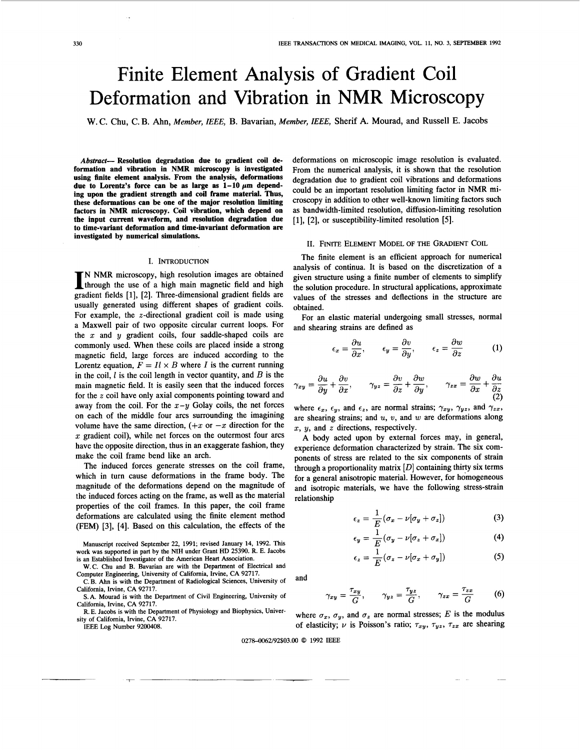# Finite Element Analysis of Gradient Coil Deformation and Vibration in NMR Microscopy

**W.** C. Chu, C. B. Ahn, *Member, IEEE,* B. Bavarian, *Member, IEEE,* Sherif A. Mourad, and Russell E. Jacobs

*Abstract-* **Resolution degradation due to gradient coil deformation and vibration in NMR microscopy is investigated using bite element analysis. From the analysis, deformations**  due to Lorentz's force can be as large as  $1-10 \mu m$  depend**ing upon the gradient strength and coil frame material. Thus, these deformations can be one of the major resolution limiting factors in NMR microscopy. Coil vibration, which depend on the input current waveform, and resolution degradation due to time-variant deformation and time-invariant deformation are investigated by numerical simulations.** 

# I. INTRODUCTION

N NMR microscopy, high resolution images are obtained through the use of a high main magnetic field and high gradient fields [ 11, [2]. Three-dimensional gradient fields are usually generated using different shapes of gradient coils. For example, the  $z$ -directional gradient coil is made using a Maxwell pair of two opposite circular current loops. For the  $x$  and  $y$  gradient coils, four saddle-shaped coils are commonly used. When these coils are placed inside a strong magnetic field, large forces are induced according to the Lorentz equation,  $F = I l \times B$  where I is the current running in the coil, *1* is the coil length in vector quantity, and *B* is the main magnetic field. It is easily seen that the induced forces for the *z* coil have only axial components pointing toward and away from the coil. For the  $x-y$  Golay coils, the net forces on each of the middle four arcs surrounding the imagining volume have the same direction,  $(+x)$  or  $-x$  direction for the  $x$  gradient coil), while net forces on the outermost four arcs have the opposite direction, thus in **an** exaggerate fashion, they make the coil frame bend like an arch.

The induced forces generate stresses on the coil frame, which in turn cause deformations in the frame body. The magnitude of the deformations depend on the magnitude of the induced forces acting on the frame, as well as the material properties of the coil frames. In this paper, the coil frame deformations are calculated using the finite element method (FEM) **[3], [4].** Based on this calculation, the effects of the

Manuscript received September 22, 1991; revised January 14, 1992. This work was supported in part by the **NIH** under Grant HD 25390. R. E. Jacobs is an Established Investigator of the American Heart Association.

W.C. Chu and B. Bavarian are with the Department of Electrical and Computer Engineering, University of California, Irvine, CA 92717.

C. B. Ahn is with the Department of Radiological Sciences, University of California, Irvine, CA 92717.

S.A. Mourad is with the Department of Civil Engineering, University of California, Irvine, CA 92717.

R. E. Jacobs is with the Department of Physiology and Biophysics, University of California, Irvine, CA 92717.

*7* ~

IEEE Log Number 9200408.

deformations on microscopic image resolution is evaluated. From the numerical analysis, it is shown that the resolution degradation due to gradient coil vibrations and deformations could be an important resolution limiting factor in NMR microscopy in addition to other well-known limiting factors such as bandwidth-limited resolution, diffusion-limiting resolution [1], [2], or susceptibility-limited resolution [5].

### 11. FINITE ELEMENT MODEL OF THE GRADIENT COIL

The finite element is an efficient approach for numerical analysis of continua. It is based on the discretization of a given structure using a finite number of elements to simplify the solution procedure. In structural applications, approximate values of the stresses and deflections in the structure are obtained.

For **an** elastic material undergoing small stresses, normal

and shearing strains are defined as  
\n
$$
\epsilon_x = \frac{\partial u}{\partial x}, \qquad \epsilon_y = \frac{\partial v}{\partial y}, \qquad \epsilon_z = \frac{\partial w}{\partial z}
$$
\n(1)

$$
\gamma_{xy} = \frac{\partial u}{\partial y} + \frac{\partial v}{\partial x}, \qquad \gamma_{yz} = \frac{\partial v}{\partial z} + \frac{\partial w}{\partial y}, \qquad \gamma_{zx} = \frac{\partial w}{\partial x} + \frac{\partial u}{\partial z}
$$
(2)

where  $\epsilon_x$ ,  $\epsilon_y$ , and  $\epsilon_z$ , are normal strains;  $\gamma_{xy}$ ,  $\gamma_{yz}$ , and  $\gamma_{zx}$ , are shearing strains; and *U, v,* and w are deformations along x, y, and *z* directions, respectively.

A body acted upon by external forces may, in general, experience deformation characterized by strain. The six components of stress are related to the six components of strain through a proportionality matrix *[D]* containing thirty six terms for a general anisotropic material. However, for homogeneous and isotropic materials, we have the following stress-strain relationship

$$
\epsilon_z = \frac{1}{E} (\sigma_x - \nu [\sigma_y + \sigma_z]) \tag{3}
$$

$$
\epsilon_y = \frac{1}{E} (\sigma_y - \nu [\sigma_z + \sigma_x]) \tag{4}
$$

$$
\epsilon_z = \frac{1}{E} (\sigma_z - \nu [\sigma_x + \sigma_y]) \tag{5}
$$

and

$$
\gamma_{xy} = \frac{\tau_{xy}}{G}, \qquad \gamma_{yz} = \frac{\tau_{yz}}{G}, \qquad \gamma_{zx} = \frac{\tau_{zx}}{G}
$$
 (6)

where  $\sigma_x$ ,  $\sigma_y$ , and  $\sigma_z$  are normal stresses; *E* is the modulus of elasticity;  $\nu$  is Poisson's ratio;  $\tau_{xy}$ ,  $\tau_{yz}$ ,  $\tau_{zx}$  are shearing

### 02784062/92\$03.00 *0* 1992 IEEE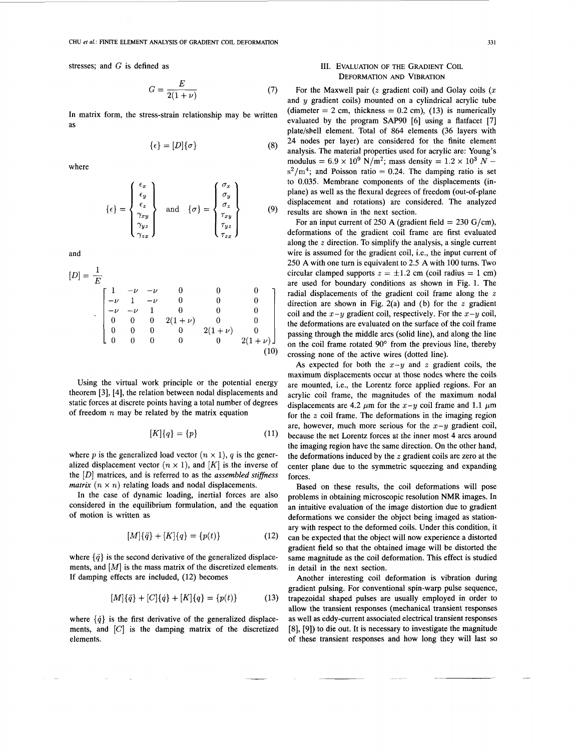stresses; and G is defined as

$$
G = \frac{E}{2(1+\nu)}\tag{7}
$$

In matrix form, the stress-strain relationship may be written as

$$
\{\epsilon\} = [D]\{\sigma\} \tag{8}
$$

where

$$
\{\epsilon\} = \begin{Bmatrix} \epsilon_x \\ \epsilon_y \\ \epsilon_z \\ \gamma_{xy} \\ \gamma_{yz} \\ \gamma_{zx} \end{Bmatrix} \quad \text{and} \quad \{\sigma\} = \begin{Bmatrix} \sigma_x \\ \sigma_y \\ \sigma_z \\ \tau_{xy} \\ \tau_{yz} \\ \tau_{zx} \end{Bmatrix} \tag{9}
$$

and

and  
\n
$$
[D] = \frac{1}{E}
$$
\n
$$
\begin{bmatrix}\n1 & -\nu & -\nu & 0 & 0 & 0 \\
-\nu & 1 & -\nu & 0 & 0 & 0 \\
-\nu & -\nu & 1 & 0 & 0 & 0 \\
0 & 0 & 0 & 2(1+\nu) & 0 & 0 \\
0 & 0 & 0 & 0 & 2(1+\nu) & 0 \\
0 & 0 & 0 & 0 & 0 & 2(1+\nu)\n\end{bmatrix}
$$
\n
$$
[\mathbf{L}(\mathbf{H})]
$$
\n
$$
[\mathbf{L}(\mathbf{H})]
$$
\n
$$
[\mathbf{L}(\mathbf{H})]
$$
\n
$$
[\mathbf{L}(\mathbf{H})]
$$
\n
$$
[\mathbf{L}(\mathbf{H})]
$$
\n
$$
[\mathbf{L}(\mathbf{H})]
$$
\n
$$
[\mathbf{L}(\mathbf{H})]
$$
\n
$$
[\mathbf{L}(\mathbf{H})]
$$
\n
$$
[\mathbf{L}(\mathbf{H})]
$$
\n
$$
[\mathbf{L}(\mathbf{H})]
$$
\n
$$
[\mathbf{L}(\mathbf{H})]
$$
\n
$$
[\mathbf{L}(\mathbf{H})]
$$
\n
$$
[\mathbf{L}(\mathbf{H})]
$$
\n
$$
[\mathbf{L}(\mathbf{H})]
$$
\n
$$
[\mathbf{L}(\mathbf{H})]
$$
\n
$$
[\mathbf{L}(\mathbf{H})]
$$
\n
$$
[\mathbf{L}(\mathbf{H})]
$$
\n
$$
[\mathbf{L}(\mathbf{H})]
$$
\n
$$
[\mathbf{L}(\mathbf{H})]
$$
\n
$$
[\mathbf{L}(\mathbf{H})]
$$
\n
$$
[\mathbf{L}(\mathbf{H})]
$$
\n
$$
[\mathbf{L}(\mathbf{H})]
$$
\n
$$
[\mathbf{L}(\mathbf{H})]
$$
\n
$$
[\mathbf{L}(\mathbf{H})]
$$
\n
$$
[\mathbf{L}(\mathbf{H})]
$$
\n
$$
[\mathbf{L}(\mathbf{H})]
$$
\n
$$
[\mathbf{L}(\mathbf{H})]
$$
\n $$ 

Using the virtual work principle or the potential energy theorem [3], [4], the relation between nodal displacements and static forces at discrete points having a total number of degrees of freedom *n* may be related by the matrix equation

$$
[K]\{q\} = \{p\} \tag{11}
$$

where *p* is the generalized load vector  $(n \times 1)$ , *q* is the generalized displacement vector  $(n \times 1)$ , and  $[K]$  is the inverse of the [D] matrices, and is referred to as the *assembled stiffizess matrix*  $(n \times n)$  relating loads and nodal displacements.

In the case of dynamic loading, inertial forces are also considered in the equilibrium formulation, and the equation of motion is written as

$$
[M]\{\ddot{q}\} + [K]\{q\} = \{p(t)\}\tag{12}
$$

where  $\{\ddot{q}\}\$ is the second derivative of the generalized displacements, and  $[M]$  is the mass matrix of the discretized elements. If damping effects are included, (12) becomes

$$
[M]{\ddot{q}} + [C]{\dot{q}} + [K]{q} = {p(t)}
$$
\n(13)

where  $\{\dot{q}\}\$ is the first derivative of the generalized displacements, and  $[C]$  is the damping matrix of the discretized elements.

# **111.** EVALUATION OF THE GRADIENT COIL DEFORMATION **AND** VIBRATION

For the Maxwell pair *(z* gradient coil) and Golay coils *(x*  and  $y$  gradient coils) mounted on a cylindrical acrylic tube (diameter  $= 2$  cm, thickness  $= 0.2$  cm), (13) is numerically evaluated by the program **SAP90** [6] using a flatfacet [7] plate/sbell element. Total of 864 elements (36 layers with 24 nodes per layer) are considered for the finite element analysis. The material properties used for acrylic are: Young's modulus =  $6.9 \times 10^9$  N/m<sup>2</sup>; mass density =  $1.2 \times 10^3$  N  $s^2/m^4$ ; and Poisson ratio = 0.24. The damping ratio is set to 0.035. Membrane components of the displacements (inplane) as well as the flexural degrees of freedom (out-of-plane displacement and rotations) are considered. The analyzed results are shown in the next section.

For an input current of 250 A (gradient field =  $230$  G/cm), deformations of the gradient coil frame are first evaluated along the *z* direction. To simplify the analysis, a single current wire is assumed for the gradient coil, i.e., the input current of 250 **A** with one turn is equivalent to 2.5 **A** with 100 turns. Two circular clamped supports  $z = \pm 1.2$  cm (coil radius = 1 cm) are used for boundary conditions as shown in [Fig. 1.](#page-2-0) The radial displacements of the gradient coil frame along the *z*  direction are shown in Fig. 2(a) and (b) for the *z* gradient coil and the  $x-y$  gradient coil, respectively. For the  $x-y$  coil, the deformations are evaluated on the surface of the coil frame passing through the middle arcs (solid line), and along the line on the coil frame rotated **90'** from the previous line, thereby crossing none of the active wires (dotted line).

As expected for both the  $x-y$  and z gradient coils, the maximum displacements occur at those nodes where the coils are mounted, i.e., the Lorentz force applied regions. For an acrylic coil frame, the magnitudes of the maximum nodal displacements are 4.2  $\mu$ m for the  $x-y$  coil frame and 1.1  $\mu$ m for the *z* coil frame. The deformations in the imaging region are, however, much more serious for the  $x-y$  gradient coil, because the net Lorentz forces at the inner most **4** arcs around the imaging region have the same direction. On the other hand, the deformations induced by the *z* gradient coils are zero at the center plane due to the symmetric squeezing and expanding forces.

Based on these results, the coil deformations will pose problems in obtaining microscopic resolution NMR images. In an intuitive evaluation of the image distortion due to gradient deformations we consider the object being imaged as stationary with respect to the deformed coils. Under this condition, it can be expected that the object will now experience a distorted gradient field so that the obtained image will be distorted the same magnitude as the coil deformation. This effect is studied in detail in the next section.

Another interesting coil deformation is vibration during gradient pulsing. For conventional spin-warp pulse sequence, trapezoidal shaped pulses are usually employed in order to allow the transient responses (mechanical transient responses as well as eddy-current associated electrical transient responses [8], [9]) to die out. It is necessary to investigate the magnitude of these transient responses and how long they will last **SO**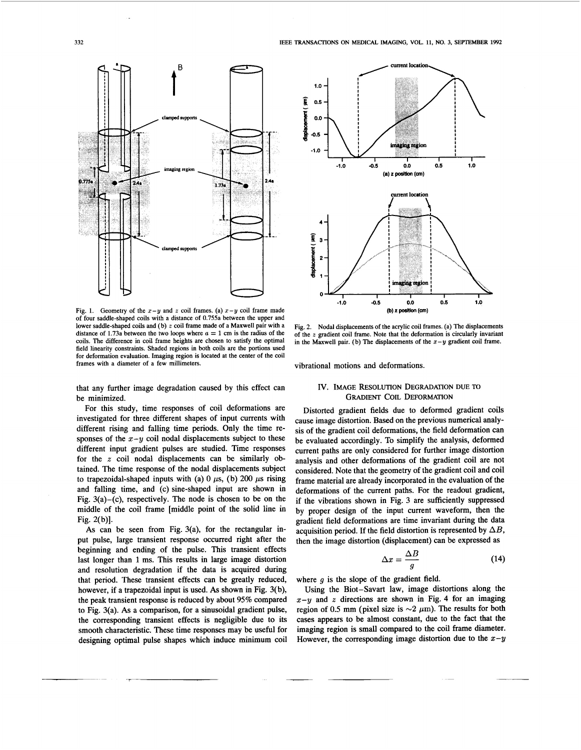<span id="page-2-0"></span>

**Fig. 1.** Geometry of the  $x - y$  and  $z$  coil frames. (a)  $x - y$  coil frame made  $y = 0$  **(b) 2 position (cm)** of four saddle-shaped coils with a distance of 0.755a between the upper and lower saddle-shaped coils and (b) z coil frame made of a Maxwell pair with a lower saddle-shaped coils and (b) z coil frame made of a Maxwell pair with a Fig. 2. Nodal displacements of the acrylic coil frames. (a) The displacements of the acrylic coil frames. (a) The displacements distance of 1.73 coils. The difference in coil frame heights are chosen to satisfy the optimal **field linearity constraints. Shaded regions in both coils are the portions used for deformation evaluation. Imaging region is located at the center of the coil frames with a diameter of a few millimeters.** 

that any further image degradation caused by this effect can IV. **IMAGE RESOLUTION DEGRADATION DUE TO**  be minimized. **GRADIENT COIL DEFORMATION** 

For this study, time responses of coil deformations are investigated for three different shapes of input currents with different rising and falling time periods. Only the time responses of the  $x-y$  coil nodal displacements subject to these different input gradient pulses are studied. Time responses for the *z* coil nodal displacements can be similarly obtained. The time response of the nodal displacements subject to trapezoidal-shaped inputs with (a)  $0 \mu s$ , (b) 200  $\mu s$  rising and falling time, and (c) sine-shaped input are shown in Fig.  $3(a)$ -(c), respectively. The node is chosen to be on the middle of the coil frame [middle point of the solid line in Fig. 2(b)].

As can be seen from Fig.  $3(a)$ , for the rectangular input pulse, large transient response occurred right after the beginning and ending of the pulse. This transient effects last longer than 1 ms. This results in large image distortion and resolution degradation if the data is acquired during that period. These transient effects can be greatly reduced, however, if a trapezoidal input is used. **As** shown in Fig. 3( b), the peak transient response is reduced by about 95% compared to Fig. 3(a). As a comparison, for a sinusoidal gradient pulse, the corresponding transient effects is negligible due to its smooth characteristic. These time responses may be useful for designing optimal pulse shapes which induce minimum coil



**of the gradient coil frame. Note that the deformation is circularly invariant**  in the Maxwell pair. (b) The displacements of the  $x - y$  gradient coil frame.

vibrational motions and deformations.

Distorted gradient fields due to deformed gradient coils cause image distortion. Based on the previous numerical analysis of the gradient coil deformations, the field deformation can be evaluated accordingly. To simplify the analysis, deformed current paths are only considered for further image distortion analysis and other deformations of the gradient coil are not considered. Note that the geometry of the gradient coil and coil frame material are already incorporated in the evaluation of the deformations of the current paths. For the readout gradient, if the vibrations shown in [Fig. 3](#page-3-0) are sufficiently suppressed by proper design of the input current waveform, then the gradient field deformations are time invariant during the data acquisition period. If the field distortion is represented by  $\Delta B$ , then the image distortion (displacement) *can* be expressed as

$$
\Delta x = \frac{\Delta B}{g} \tag{14}
$$

where  $g$  is the slope of the gradient field.

Using the Biot-Savart law, image distortions along the **x-y** and *z* directions are shown in [Fig.](#page-3-0) **4** for an imaging region of 0.5 mm (pixel size is  $\sim$ 2  $\mu$ m). The results for both cases appears to be almost constant, due to the fact that the imaging region is small compared to the coil frame diameter. However, the corresponding image distortion due to the  $x-y$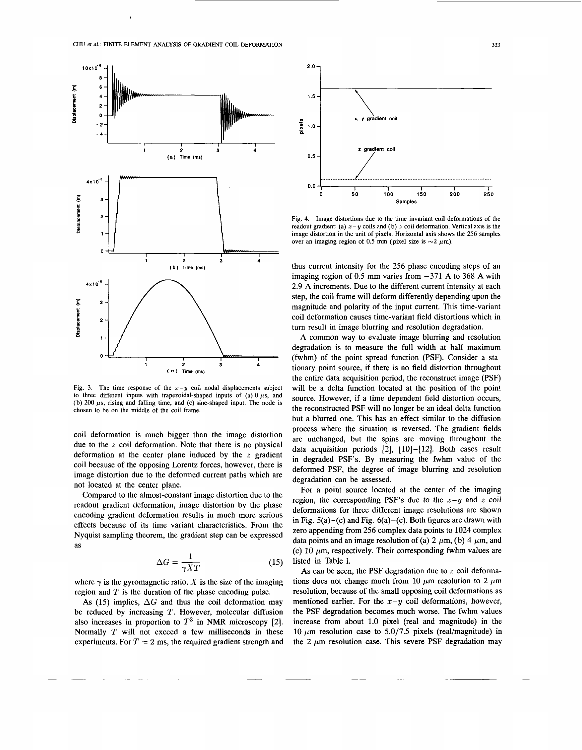<span id="page-3-0"></span>

Fig. 3. The time response of the  $x-y$  coil nodal displacements subject to three different inputs with trapezoidal-shaped inputs of (a)  $0 \mu s$ , and **(b) 200** *ps,* **rising and falling time, and (c) sine-shaped input. The node is chosen to be on the middle of the coil frame.** 

coil deformation is much bigger than the image distortion due to the *z* coil deformation. Note that there is no physical deformation at the center plane induced by the *z* gradient coil because of the opposing Lorentz forces, however, there is image distortion due to the deformed current paths which are not located at the center plane.

Compared to the almost-constant image distortion due to the readout gradient deformation, image distortion by the phase encoding gradient deformation results in much more serious effects because of its time variant characteristics. From the Nyquist sampling theorem, the gradient step can be expressed as

$$
\Delta G = \frac{1}{\gamma XT} \tag{15}
$$

where  $\gamma$  is the gyromagnetic ratio, *X* is the size of the imaging region and *T* is the duration **of** the phase encoding pulse.

As (15) implies,  $\Delta G$  and thus the coil deformation may be reduced by increasing *T.* However, molecular diffusion also increases in proportion to  $T^3$  in NMR microscopy [2]. Normally *T* will not exceed a few milliseconds in these experiments. For  $T = 2$  ms, the required gradient strength and



**Fig. 4. Image distortions due to the time invariant coil deformations of the**  readout gradient: (a)  $x - y$  coils and (b)  $z$  coil deformation. Vertical axis is the **image distortion in the unit of pixels. Horizontal axis shows the 256 samples**  over an imaging region of 0.5 mm (pixel size is  $\sim$ 2  $\mu$ m).

thus current intensity for the 256 phase encoding steps of an imaging region of 0.5 mm varies from -371 **A** to 368 **A** with 2.9 **A** increments. Due to the different current intensity at each step, the coil frame will deform differently depending upon the magnitude and polarity of the input current. This time-variant coil deformation causes time-variant field distortions which in turn result in image blurring and resolution degradation.

**A** common way to evaluate image blurring and resolution degradation is to measure the full width at half maximum (fwhm) of the point spread function (PSF). Consider a stationary point source, if there is no field distortion throughout the entire data acquisition period, the reconstruct image (PSF) will be a delta function located at the position of the point source. However, if a time dependent field distortion occurs, the reconstructed PSF will no longer be an ideal delta function but a blurred one. This has an effect similar to the diffusion process where the situation is reversed. The gradient fields are unchanged, but the spins are moving throughout the data acquisition periods [2], [10]-[12]. Both cases result in degraded PSF's. By measuring the fwhm value of the deformed PSF, the degree of image blurring and resolution degradation can be assessed.

For a point source located at the center of the imaging region, the corresponding PSF's due to the  $x-y$  and  $z$  coil deformations for three different image resolutions are shown in Fig.  $5(a)$ -(c) and Fig.  $6(a)$ -(c). Both figures are drawn with zero appending from 256 complex data points to 1024 complex data points and an image resolution of (a) 2  $\mu$ m, (b) 4  $\mu$ m, and (c) 10  $\mu$ m, respectively. Their corresponding fwhm values are listed in Table I.

**As** can be seen, the PSF degradation due to *z* coil deformations does not change much from 10  $\mu$ m resolution to 2  $\mu$ m resolution, because of the small opposing coil deformations as mentioned earlier. For the  $x-y$  coil deformations, however, the PSF degradation becomes much worse. The fwhm values increase from about 1.0 pixel (real and magnitude) in the 10  $\mu$ m resolution case to 5.0/7.5 pixels (real/magnitude) in the 2  $\mu$ m resolution case. This severe PSF degradation may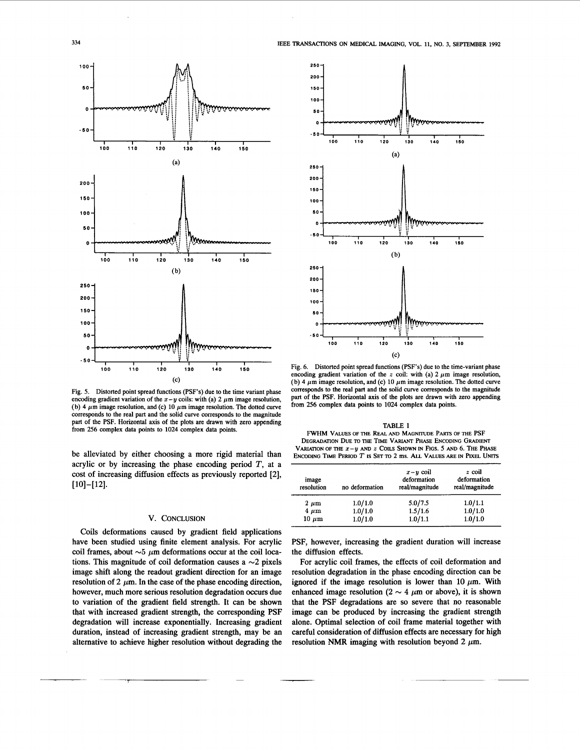

Fig. 5. Distorted point spread functions (PSF's) due to the time variant phase encoding gradient variation of the  $x-y$  coils: with (a) 2  $\mu$ m image resolution, (b) 4  $\mu$ m image resolution, and (c) 10  $\mu$ m image resolution. The dotted curve corresponds to the real part and the solid curve corresponds to the magnitude part of the PSF. Horizontal axis of the plots are drawn with zero appending **from** 256 complex data points to 1024 complex data points.

be alleviated by either choosing a more rigid material than acrylic or by increasing the phase encoding period  $T$ , at a cost of increasing diffusion effects as previously reported [2],  $[10] - [12]$ .

# **V. CONCLUSION**

Coils deformations caused by gradient field applications have been studied using finite element analysis. For acrylic coil frames, about  $\sim$  5  $\mu$ m deformations occur at the coil locations. This magnitude of coil deformation causes a  $\sim$ 2 pixels image shift along the readout gradient direction for an image resolution of 2  $\mu$ m. In the case of the phase encoding direction, however, much more serious resolution degradation occurs due to variation of the gradient field strength. It can be shown that with increased gradient strength, the corresponding PSF degradation will increase exponentially. Increasing gradient duration, instead of increasing gradient strength, may be an altemative to achieve higher resolution without degrading the

**1** 



Fig. 6. Distorted point spread functions (PSF's) due to the time-variant phase encoding gradient variation of the  $z$  coil: with (a)  $2 \mu m$  image resolution, (b)  $4 \mu m$  image resolution, and (c)  $10 \mu m$  image resolution. The dotted curve corresponds to the real part and the solid **curve** corresponds to the magnitude part of the PSF. Horizontal axis of the plots are drawn with zero appending from 256 complex data points to 1024 complex data points.

### **TABLE I FWHM VALUES OF THE REAL AND MAGNITUDE PARTS OF THE PSF DEGRADATION DUE TO THE TIME VARIANT PHASE ENCODING GRADIENT VARIATION OF THE**  $x - y$  **and**  $z$  **Coils Shown in Figs. 5 and 6. The Phase ENCODDIG TIME PERIOD** *T* **IS SET TO 2 ms.** *ALL* **VALUES ARE IN** PIXEL **UNITS**

| image<br>resolution | no deformation | $x - y \ncot$<br>deformation<br>real/magnitude | $z$ coil<br>deformation<br>real/magnitude |
|---------------------|----------------|------------------------------------------------|-------------------------------------------|
| $2 \mu m$           | 1.0/1.0        | 5.0/7.5                                        | 1.0/1.1                                   |
| $4~\mu m$           | 1.0/1.0        | 1.5/1.6                                        | 1.0/1.0                                   |
| $10 \mu m$          | 1.0/1.0        | 1.0/1.1                                        | 1.0/1.0                                   |

PSF, however, increasing the gradient duration will increase the diffusion effects.

For acrylic coil frames, the effects of coil deformation and resolution degradation in the phase encoding direction can be ignored if the image resolution is lower than 10  $\mu$ m. With enhanced image resolution ( $2 \sim 4 \mu$ m or above), it is shown that the PSF degradations are so severe that no reasonable image can be produced by increasing the gradient strength alone. Optimal selection of coil frame material together with careful consideration of diffusion effects are necessary for high resolution NMR imaging with resolution beyond 2  $\mu$ m.